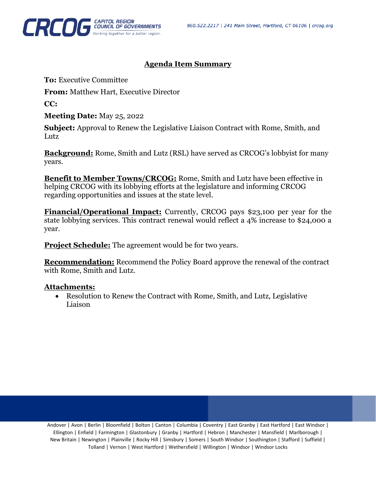

## **Agenda Item Summary**

**To:** Executive Committee

**From:** Matthew Hart, Executive Director

**CC:**

**Meeting Date:** May 25, 2022

**Subject:** Approval to Renew the Legislative Liaison Contract with Rome, Smith, and Lutz<sub>1</sub>

**Background:** Rome, Smith and Lutz (RSL) have served as CRCOG's lobbyist for many years.

**Benefit to Member Towns/CRCOG:** Rome, Smith and Lutz have been effective in helping CRCOG with its lobbying efforts at the legislature and informing CRCOG regarding opportunities and issues at the state level.

**Financial/Operational Impact:** Currently, CRCOG pays \$23,100 per year for the state lobbying services. This contract renewal would reflect a 4% increase to \$24,000 a year.

**Project Schedule:** The agreement would be for two years.

**Recommendation:** Recommend the Policy Board approve the renewal of the contract with Rome, Smith and Lutz.

## **Attachments:**

• Resolution to Renew the Contract with Rome, Smith, and Lutz, Legislative Liaison

Andover | Avon | Berlin | Bloomfield | Bolton | Canton | Columbia | Coventry | East Granby | East Hartford | East Windsor | Ellington | Enfield | Farmington | Glastonbury | Granby | Hartford | Hebron | Manchester | Mansfield | Marlborough | New Britain | Newington | Plainville | Rocky Hill | Simsbury | Somers | South Windsor | Southington | Stafford | Suffield | Tolland | Vernon | West Hartford | Wethersfield | Willington | Windsor | Windsor Locks